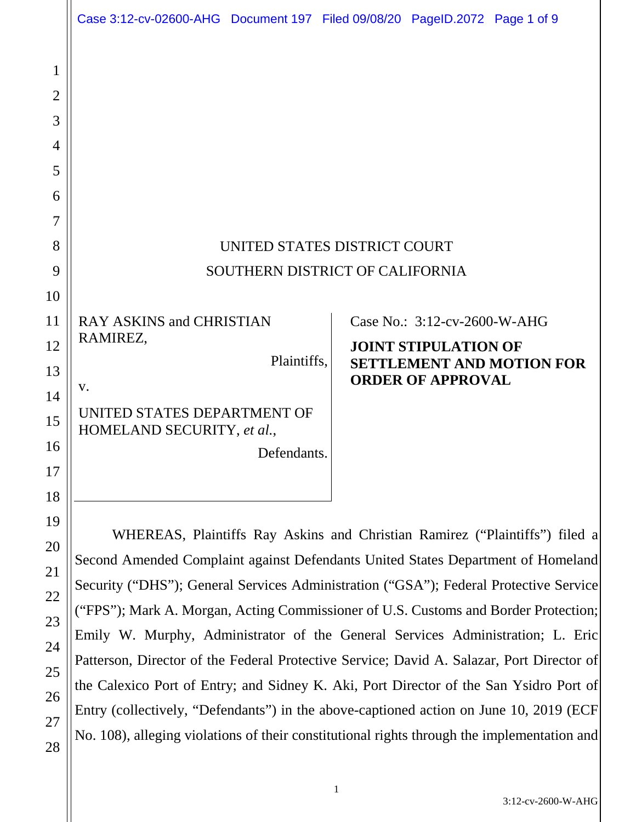|                                                                     | Case 3:12-cv-02600-AHG  Document 197  Filed 09/08/20  PageID.2072  Page 1 of 9                                                                                                                                                                                                                                                                                                                                                                                                                                                                                                                                                                                                                                                                                                                                    |  |                                                                                         |                                  |  |  |
|---------------------------------------------------------------------|-------------------------------------------------------------------------------------------------------------------------------------------------------------------------------------------------------------------------------------------------------------------------------------------------------------------------------------------------------------------------------------------------------------------------------------------------------------------------------------------------------------------------------------------------------------------------------------------------------------------------------------------------------------------------------------------------------------------------------------------------------------------------------------------------------------------|--|-----------------------------------------------------------------------------------------|----------------------------------|--|--|
| 1<br>$\overline{2}$<br>3<br>$\overline{4}$<br>5<br>6<br>7<br>8<br>9 | UNITED STATES DISTRICT COURT<br>SOUTHERN DISTRICT OF CALIFORNIA                                                                                                                                                                                                                                                                                                                                                                                                                                                                                                                                                                                                                                                                                                                                                   |  |                                                                                         |                                  |  |  |
| 10<br>11<br>12<br>13<br>14<br>15<br>16<br>17<br>18                  | <b>RAY ASKINS and CHRISTIAN</b><br>RAMIREZ,<br>Plaintiffs,<br>V.<br>UNITED STATES DEPARTMENT OF<br>HOMELAND SECURITY, et al.,<br>Defendants.                                                                                                                                                                                                                                                                                                                                                                                                                                                                                                                                                                                                                                                                      |  | Case No.: 3:12-cv-2600-W-AHG<br><b>JOINT STIPULATION OF</b><br><b>ORDER OF APPROVAL</b> | <b>SETTLEMENT AND MOTION FOR</b> |  |  |
| 19<br>20<br>21<br>22<br>23<br>24<br>25<br>26<br>27<br>28            | WHEREAS, Plaintiffs Ray Askins and Christian Ramirez ("Plaintiffs") filed a<br>Second Amended Complaint against Defendants United States Department of Homeland<br>Security ("DHS"); General Services Administration ("GSA"); Federal Protective Service<br>("FPS"); Mark A. Morgan, Acting Commissioner of U.S. Customs and Border Protection;<br>Emily W. Murphy, Administrator of the General Services Administration; L. Eric<br>Patterson, Director of the Federal Protective Service; David A. Salazar, Port Director of<br>the Calexico Port of Entry; and Sidney K. Aki, Port Director of the San Ysidro Port of<br>Entry (collectively, "Defendants") in the above-captioned action on June 10, 2019 (ECF<br>No. 108), alleging violations of their constitutional rights through the implementation and |  |                                                                                         |                                  |  |  |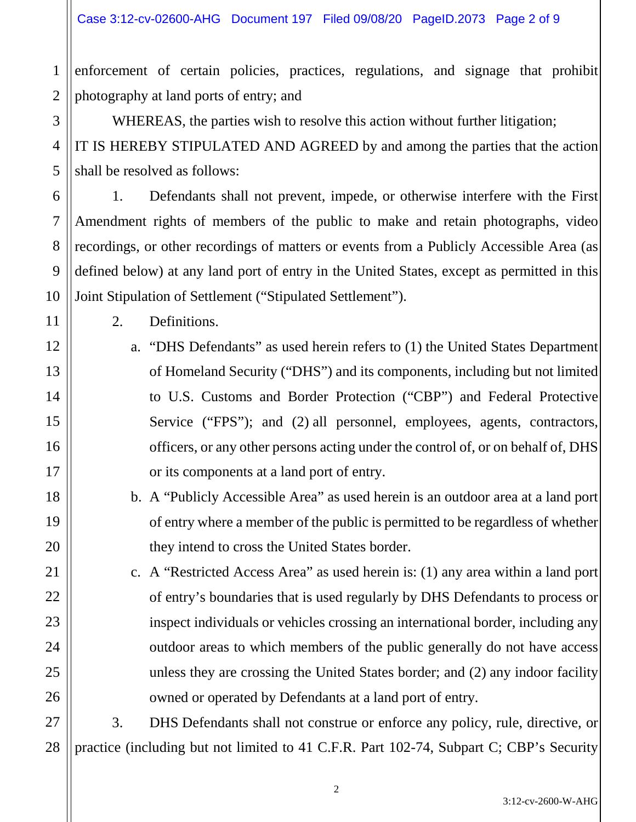1 2 enforcement of certain policies, practices, regulations, and signage that prohibit photography at land ports of entry; and

WHEREAS, the parties wish to resolve this action without further litigation; IT IS HEREBY STIPULATED AND AGREED by and among the parties that the action shall be resolved as follows:

1. Defendants shall not prevent, impede, or otherwise interfere with the First Amendment rights of members of the public to make and retain photographs, video recordings, or other recordings of matters or events from a Publicly Accessible Area (as defined below) at any land port of entry in the United States, except as permitted in this Joint Stipulation of Settlement ("Stipulated Settlement").

2. Definitions.

3

4

5

6

7

8

9

10

11

12

13

14

15

16

17

18

19

20

21

22

23

24

25

26

- a. "DHS Defendants" as used herein refers to (1) the United States Department of Homeland Security ("DHS") and its components, including but not limited to U.S. Customs and Border Protection ("CBP") and Federal Protective Service ("FPS"); and (2) all personnel, employees, agents, contractors, officers, or any other persons acting under the control of, or on behalf of, DHS or its components at a land port of entry.
- b. A "Publicly Accessible Area" as used herein is an outdoor area at a land port of entry where a member of the public is permitted to be regardless of whether they intend to cross the United States border.
- c. A "Restricted Access Area" as used herein is: (1) any area within a land port of entry's boundaries that is used regularly by DHS Defendants to process or inspect individuals or vehicles crossing an international border, including any outdoor areas to which members of the public generally do not have access unless they are crossing the United States border; and (2) any indoor facility owned or operated by Defendants at a land port of entry.

27 28 3. DHS Defendants shall not construe or enforce any policy, rule, directive, or practice (including but not limited to 41 C.F.R. Part 102-74, Subpart C; CBP's Security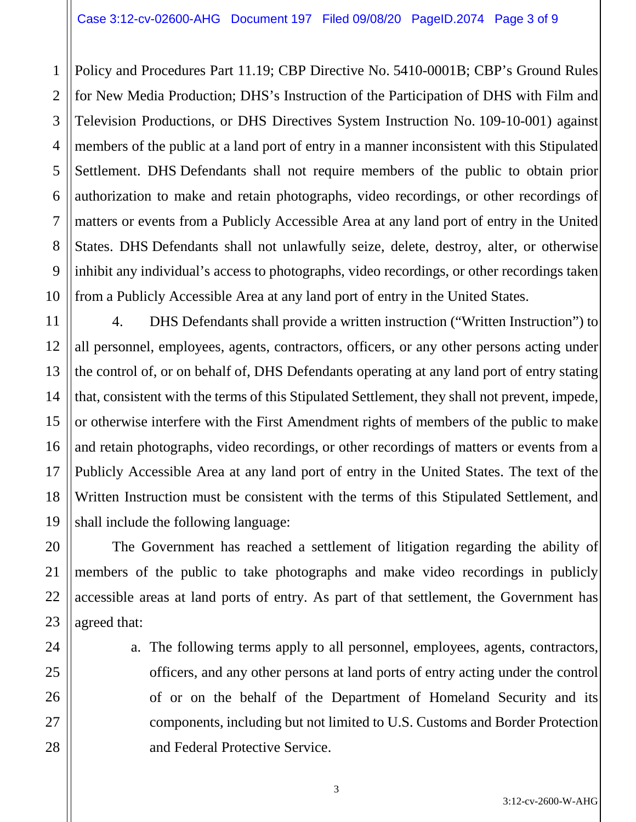1 Policy and Procedures Part 11.19; CBP Directive No. 5410-0001B; CBP's Ground Rules for New Media Production; DHS's Instruction of the Participation of DHS with Film and Television Productions, or DHS Directives System Instruction No. 109-10-001) against members of the public at a land port of entry in a manner inconsistent with this Stipulated Settlement. DHS Defendants shall not require members of the public to obtain prior authorization to make and retain photographs, video recordings, or other recordings of matters or events from a Publicly Accessible Area at any land port of entry in the United States. DHS Defendants shall not unlawfully seize, delete, destroy, alter, or otherwise inhibit any individual's access to photographs, video recordings, or other recordings taken from a Publicly Accessible Area at any land port of entry in the United States.

4. DHS Defendants shall provide a written instruction ("Written Instruction") to all personnel, employees, agents, contractors, officers, or any other persons acting under the control of, or on behalf of, DHS Defendants operating at any land port of entry stating that, consistent with the terms of this Stipulated Settlement, they shall not prevent, impede, or otherwise interfere with the First Amendment rights of members of the public to make and retain photographs, video recordings, or other recordings of matters or events from a Publicly Accessible Area at any land port of entry in the United States. The text of the Written Instruction must be consistent with the terms of this Stipulated Settlement, and shall include the following language:

The Government has reached a settlement of litigation regarding the ability of members of the public to take photographs and make video recordings in publicly accessible areas at land ports of entry. As part of that settlement, the Government has agreed that:

a. The following terms apply to all personnel, employees, agents, contractors, officers, and any other persons at land ports of entry acting under the control of or on the behalf of the Department of Homeland Security and its components, including but not limited to U.S. Customs and Border Protection and Federal Protective Service.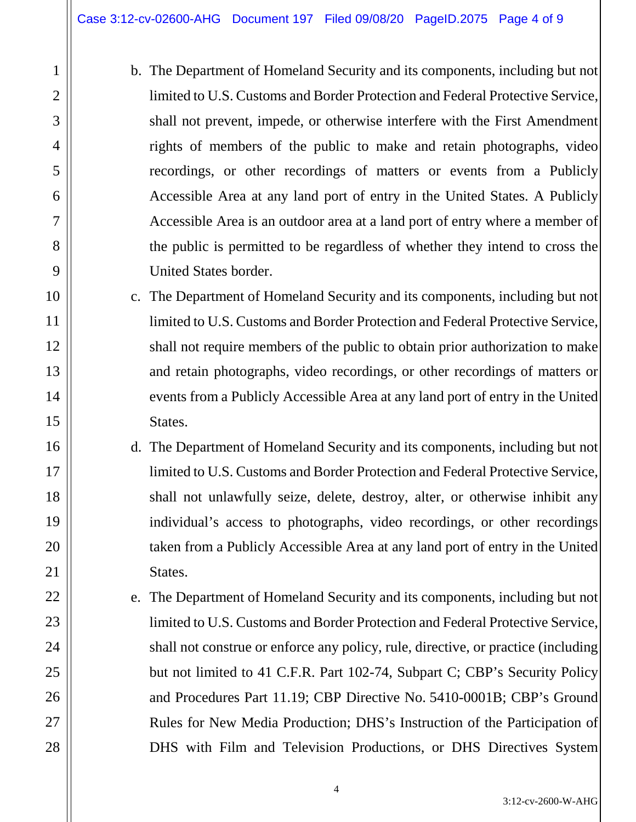1

2

3

4

5

6

7

8

9

10

11

12

13

14

15

16

17

18

19

20

21

22

23

24

25

26

27

28

- b. The Department of Homeland Security and its components, including but not limited to U.S. Customs and Border Protection and Federal Protective Service, shall not prevent, impede, or otherwise interfere with the First Amendment rights of members of the public to make and retain photographs, video recordings, or other recordings of matters or events from a Publicly Accessible Area at any land port of entry in the United States. A Publicly Accessible Area is an outdoor area at a land port of entry where a member of the public is permitted to be regardless of whether they intend to cross the United States border.
- c. The Department of Homeland Security and its components, including but not limited to U.S. Customs and Border Protection and Federal Protective Service, shall not require members of the public to obtain prior authorization to make and retain photographs, video recordings, or other recordings of matters or events from a Publicly Accessible Area at any land port of entry in the United States.
- d. The Department of Homeland Security and its components, including but not limited to U.S. Customs and Border Protection and Federal Protective Service, shall not unlawfully seize, delete, destroy, alter, or otherwise inhibit any individual's access to photographs, video recordings, or other recordings taken from a Publicly Accessible Area at any land port of entry in the United States.
- e. The Department of Homeland Security and its components, including but not limited to U.S. Customs and Border Protection and Federal Protective Service, shall not construe or enforce any policy, rule, directive, or practice (including but not limited to 41 C.F.R. Part 102-74, Subpart C; CBP's Security Policy and Procedures Part 11.19; CBP Directive No. 5410-0001B; CBP's Ground Rules for New Media Production; DHS's Instruction of the Participation of DHS with Film and Television Productions, or DHS Directives System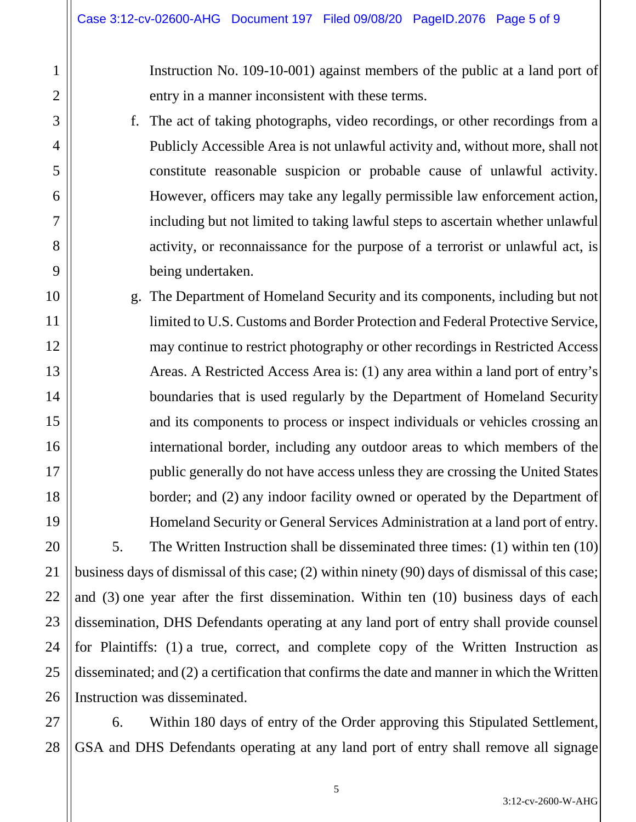1

2

3

4

5

6

7

8

9

10

11

12

13

14

15

16

17

18

19

20

21

22

23

24

25

26

Instruction No. 109-10-001) against members of the public at a land port of entry in a manner inconsistent with these terms.

- f. The act of taking photographs, video recordings, or other recordings from a Publicly Accessible Area is not unlawful activity and, without more, shall not constitute reasonable suspicion or probable cause of unlawful activity. However, officers may take any legally permissible law enforcement action, including but not limited to taking lawful steps to ascertain whether unlawful activity, or reconnaissance for the purpose of a terrorist or unlawful act, is being undertaken.
- g. The Department of Homeland Security and its components, including but not limited to U.S. Customs and Border Protection and Federal Protective Service, may continue to restrict photography or other recordings in Restricted Access Areas. A Restricted Access Area is: (1) any area within a land port of entry's boundaries that is used regularly by the Department of Homeland Security and its components to process or inspect individuals or vehicles crossing an international border, including any outdoor areas to which members of the public generally do not have access unless they are crossing the United States border; and (2) any indoor facility owned or operated by the Department of Homeland Security or General Services Administration at a land port of entry.

5. The Written Instruction shall be disseminated three times: (1) within ten (10) business days of dismissal of this case; (2) within ninety (90) days of dismissal of this case; and (3) one year after the first dissemination. Within ten (10) business days of each dissemination, DHS Defendants operating at any land port of entry shall provide counsel for Plaintiffs: (1) a true, correct, and complete copy of the Written Instruction as disseminated; and (2) a certification that confirms the date and manner in which the Written Instruction was disseminated.

27 28 6. Within 180 days of entry of the Order approving this Stipulated Settlement, GSA and DHS Defendants operating at any land port of entry shall remove all signage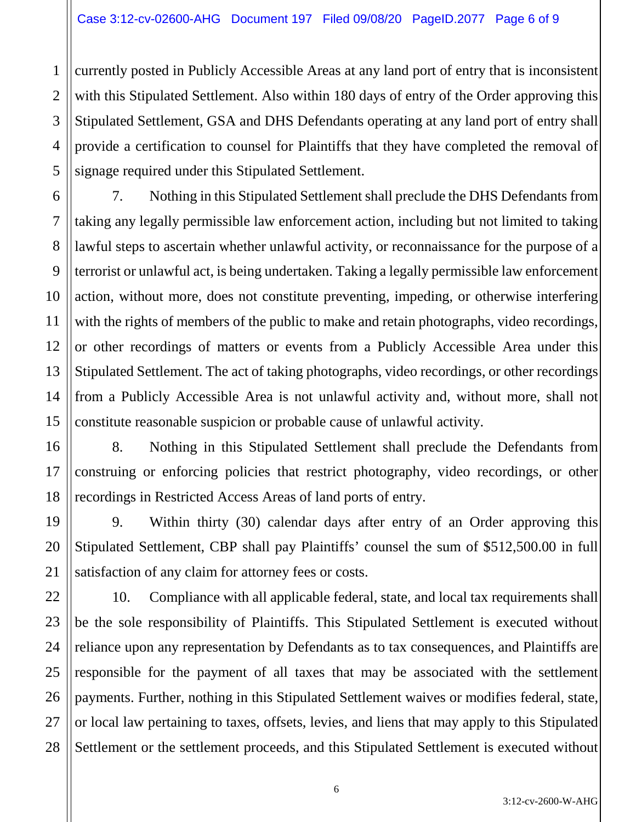4 currently posted in Publicly Accessible Areas at any land port of entry that is inconsistent with this Stipulated Settlement. Also within 180 days of entry of the Order approving this Stipulated Settlement, GSA and DHS Defendants operating at any land port of entry shall provide a certification to counsel for Plaintiffs that they have completed the removal of signage required under this Stipulated Settlement.

7. Nothing in this Stipulated Settlement shall preclude the DHS Defendants from taking any legally permissible law enforcement action, including but not limited to taking lawful steps to ascertain whether unlawful activity, or reconnaissance for the purpose of a terrorist or unlawful act, is being undertaken. Taking a legally permissible law enforcement action, without more, does not constitute preventing, impeding, or otherwise interfering with the rights of members of the public to make and retain photographs, video recordings, or other recordings of matters or events from a Publicly Accessible Area under this Stipulated Settlement. The act of taking photographs, video recordings, or other recordings from a Publicly Accessible Area is not unlawful activity and, without more, shall not constitute reasonable suspicion or probable cause of unlawful activity.

8. Nothing in this Stipulated Settlement shall preclude the Defendants from construing or enforcing policies that restrict photography, video recordings, or other recordings in Restricted Access Areas of land ports of entry.

9. Within thirty (30) calendar days after entry of an Order approving this Stipulated Settlement, CBP shall pay Plaintiffs' counsel the sum of \$512,500.00 in full satisfaction of any claim for attorney fees or costs.

10. Compliance with all applicable federal, state, and local tax requirements shall be the sole responsibility of Plaintiffs. This Stipulated Settlement is executed without reliance upon any representation by Defendants as to tax consequences, and Plaintiffs are responsible for the payment of all taxes that may be associated with the settlement payments. Further, nothing in this Stipulated Settlement waives or modifies federal, state, or local law pertaining to taxes, offsets, levies, and liens that may apply to this Stipulated Settlement or the settlement proceeds, and this Stipulated Settlement is executed without

1

2

3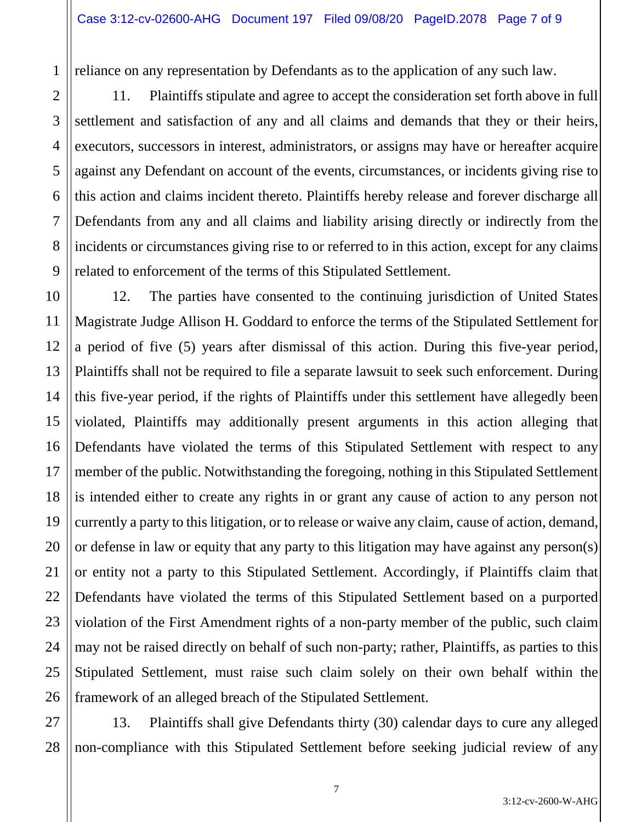reliance on any representation by Defendants as to the application of any such law.

1

2

3

4

5

6

7

8

9

11

21

11. Plaintiffs stipulate and agree to accept the consideration set forth above in full settlement and satisfaction of any and all claims and demands that they or their heirs, executors, successors in interest, administrators, or assigns may have or hereafter acquire against any Defendant on account of the events, circumstances, or incidents giving rise to this action and claims incident thereto. Plaintiffs hereby release and forever discharge all Defendants from any and all claims and liability arising directly or indirectly from the incidents or circumstances giving rise to or referred to in this action, except for any claims related to enforcement of the terms of this Stipulated Settlement.

10 12 13 14 15 16 17 18 19 20 22 23 24 25 26 12. The parties have consented to the continuing jurisdiction of United States Magistrate Judge Allison H. Goddard to enforce the terms of the Stipulated Settlement for a period of five (5) years after dismissal of this action. During this five-year period, Plaintiffs shall not be required to file a separate lawsuit to seek such enforcement. During this five-year period, if the rights of Plaintiffs under this settlement have allegedly been violated, Plaintiffs may additionally present arguments in this action alleging that Defendants have violated the terms of this Stipulated Settlement with respect to any member of the public. Notwithstanding the foregoing, nothing in this Stipulated Settlement is intended either to create any rights in or grant any cause of action to any person not currently a party to this litigation, or to release or waive any claim, cause of action, demand, or defense in law or equity that any party to this litigation may have against any person(s) or entity not a party to this Stipulated Settlement. Accordingly, if Plaintiffs claim that Defendants have violated the terms of this Stipulated Settlement based on a purported violation of the First Amendment rights of a non-party member of the public, such claim may not be raised directly on behalf of such non-party; rather, Plaintiffs, as parties to this Stipulated Settlement, must raise such claim solely on their own behalf within the framework of an alleged breach of the Stipulated Settlement.

27 28 13. Plaintiffs shall give Defendants thirty (30) calendar days to cure any alleged non-compliance with this Stipulated Settlement before seeking judicial review of any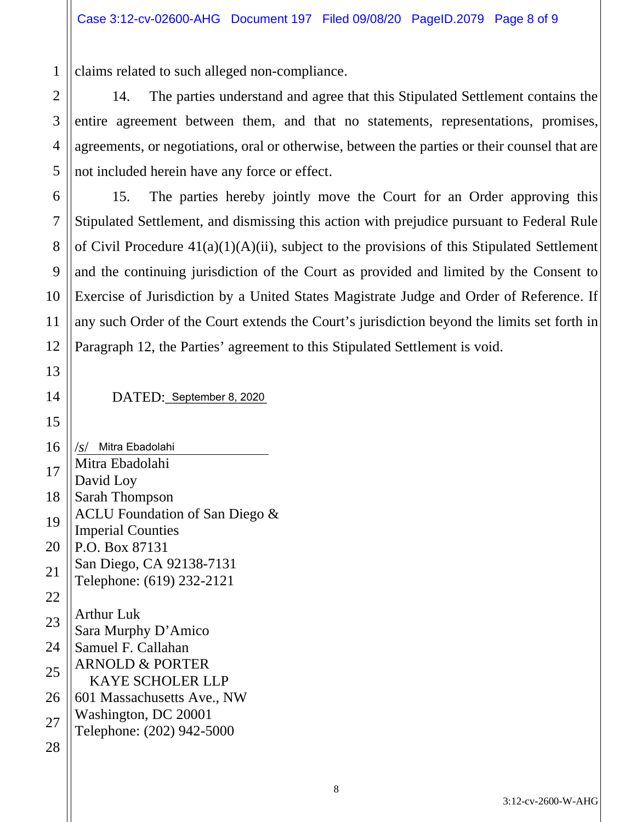claims related to such alleged non-compliance.

14. The parties understand and agree that this Stipulated Settlement contains the entire agreement between them, and that no statements, representations, promises, agreements, or negotiations, oral or otherwise, between the parties or their counsel that are not included herein have any force or effect.

15. The parties hereby jointly move the Court for an Order approving this Stipulated Settlement, and dismissing this action with prejudice pursuant to Federal Rule of Civil Procedure  $41(a)(1)(A)(ii)$ , subject to the provisions of this Stipulated Settlement and the continuing jurisdiction of the Court as provided and limited by the Consent to Exercise of Jurisdiction by a United States Magistrate Judge and Order of Reference. If any such Order of the Court extends the Court's jurisdiction beyond the limits set forth in Paragraph 12, the Parties' agreement to this Stipulated Settlement is void.

DATED: September 8, 2020

16 /*s*/ Mitra Ebadolahi Mitra Ebadolahi David Loy Sarah Thompson ACLU Foundation of San Diego & Imperial Counties P.O. Box 87131 San Diego, CA 92138-7131 Telephone: (619) 232-2121 Arthur Luk Sara Murphy D'Amico Samuel F. Callahan ARNOLD & PORTER KAYE SCHOLER LLP 601 Massachusetts Ave., NW Washington, DC 20001 Telephone: (202) 942-5000

1

2

3

4

5

6

7

8

9